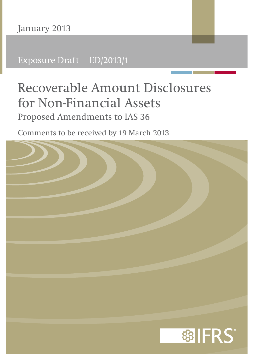Exposure Draft ED/2013/1

# **Recoverable Amount Disclosures for Non-Financial Assets** Proposed Amendments to IAS 36

Comments to be received by 19 March 2013

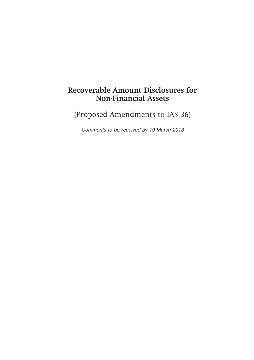# **Recoverable Amount Disclosures for Non-Financial Assets**

(Proposed Amendments to IAS 36)

*Comments to be received by 19 March 2013*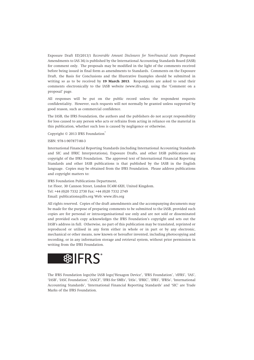Exposure Draft ED/2013/1 *Recoverable Amount Disclosures for Non-Financial Assets* (Proposed Amendments to IAS 36) is published by the International Accounting Standards Board (IASB) for comment only. The proposals may be modified in the light of the comments received before being issued in final form as amendments to Standards. Comments on the Exposure Draft, the Basis for Conclusions and the Illustrative Examples should be submitted in writing so as to be received by **19 March 2013**. Respondents are asked to send their comments electronically to the IASB website (www.ifrs.org), using the 'Comment on a proposal' page.

All responses will be put on the public record unless the respondent requests confidentiality. However, such requests will not normally be granted unless supported by good reason, such as commercial confidence.

The IASB, the IFRS Foundation, the authors and the publishers do not accept responsibility for loss caused to any person who acts or refrains from acting in reliance on the material in this publication, whether such loss is caused by negligence or otherwise.

Copyright © 2013 IFRS Foundation®

ISBN: 978-1-907877-80-3

International Financial Reporting Standards (including International Accounting Standards and SIC and IFRIC Interpretations), Exposure Drafts, and other IASB publications are copyright of the IFRS Foundation. The approved text of International Financial Reporting Standards and other IASB publications is that published by the IASB in the English language. Copies may be obtained from the IFRS Foundation. Please address publications and copyright matters to:

IFRS Foundation Publications Department, 1st Floor, 30 Cannon Street, London EC4M 6XH, United Kingdom. Tel: +44 (0)20 7332 2730 Fax: +44 (0)20 7332 2749 Email: publications@ifrs.org Web: www.ifrs.org

All rights reserved. Copies of the draft amendments and the accompanying documents may be made for the purpose of preparing comments to be submitted to the IASB, provided such copies are for personal or intra-organisational use only and are not sold or disseminated and provided each copy acknowledges the IFRS Foundation's copyright and sets out the IASB's address in full. Otherwise, no part of this publication may be translated, reprinted or reproduced or utilised in any form either in whole or in part or by any electronic, mechanical or other means, now known or hereafter invented, including photocopying and recording, or in any information storage and retrieval system, without prior permission in writing from the IFRS Foundation.



The IFRS Foundation logo/the IASB logo/'Hexagon Device', 'IFRS Foundation', '*e*IFRS', 'IAS', 'IASB', 'IASC Foundation', 'IASCF', 'IFRS for SMEs', 'IASs', 'IFRIC', 'IFRS', 'IFRSs', 'International Accounting Standards', 'International Financial Reporting Standards' and 'SIC' are Trade Marks of the IFRS Foundation.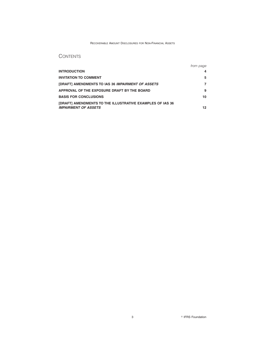#### RECOVERABLE AMOUNT DISCLOSURES FOR NON-FINANCIAL ASSETS

# **CONTENTS**

|                                                                  | from page |
|------------------------------------------------------------------|-----------|
| <b>INTRODUCTION</b>                                              |           |
| <b>INVITATION TO COMMENT</b>                                     | 5         |
| [DRAFT] AMENDMENTS TO IAS 36 IMPAIRMENT OF ASSETS                |           |
| APPROVAL OF THE EXPOSURE DRAFT BY THE BOARD                      | 9         |
| <b>BASIS FOR CONCLUSIONS</b>                                     | 10        |
| <b>[DRAFT] AMENDMENTS TO THE ILLUSTRATIVE EXAMPLES OF IAS 36</b> |           |
| <b>IMPAIRMENT OF ASSETS</b>                                      | 12        |

3 **IFRS** Foundation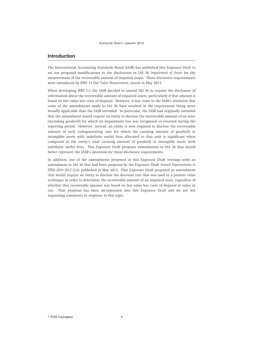# **Introduction**

The International Accounting Standards Board (IASB) has published this Exposure Draft to set out proposed modifications to the disclosures in IAS 36 *Impairment of Assets* for the measurement of the recoverable amount of impaired assets. Those disclosure requirements were introduced by IFRS 13 *Fair Value Measurement*, issued in May 2011.

When developing IFRS 13, the IASB decided to amend IAS 36 to require the disclosure of information about the recoverable amount of impaired assets, particularly if that amount is based on fair value less costs of disposal. However, it has come to the IASB's attention that some of the amendments made to IAS 36 have resulted in the requirement being more broadly applicable than the IASB intended. In particular, the IASB had originally intended that the amendment would require an entity to disclose the recoverable amount of an asset (including goodwill) for which an impairment loss was recognised or reversed during the reporting period. However, instead, an entity is now required to disclose the recoverable amount of each cash-generating unit for which the carrying amount of goodwill or intangible assets with indefinite useful lives allocated to that unit is significant when compared to the entity's total carrying amount of goodwill or intangible assets with indefinite useful lives. This Exposure Draft proposes amendments to IAS 36 that would better represent the IASB's intention for those disclosure requirements.

In addition, one of the amendments proposed in this Exposure Draft overlaps with an amendment to IAS 36 that had been proposed by the Exposure Draft *Annual Improvements to IFRSs 2010–2012 Cycle* published in May 2012. That Exposure Draft proposed an amendment that would require an entity to disclose the discount rate that was used in a present value technique in order to determine the recoverable amount of an impaired asset, regardless of whether that recoverable amount was based on fair value less costs of disposal or value in use. That proposal has been incorporated into this Exposure Draft and we are not requesting comments in response to this topic.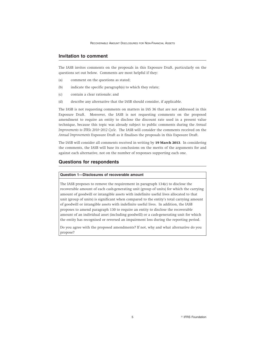#### **Invitation to comment**

The IASB invites comments on the proposals in this Exposure Draft, particularly on the questions set out below. Comments are most helpful if they:

- (a) comment on the questions as stated;
- (b) indicate the specific paragraph(s) to which they relate;
- (c) contain a clear rationale; and
- (d) describe any alternative that the IASB should consider, if applicable.

The IASB is not requesting comments on matters in IAS 36 that are not addressed in this Exposure Draft. Moreover, the IASB is not requesting comments on the proposed amendment to require an entity to disclose the discount rate used in a present value technique, because this topic was already subject to public comments during the *Annual Improvements to IFRSs 2010–2012 Cycle*. The IASB will consider the comments received on the *Annual Improvements* Exposure Draft as it finalises the proposals in this Exposure Draft.

The IASB will consider all comments received in writing by **19 March 2013**. In considering the comments, the IASB will base its conclusions on the merits of the arguments for and against each alternative, not on the number of responses supporting each one.

#### **Questions for respondents**

#### **Question 1—Disclosures of recoverable amount**

The IASB proposes to remove the requirement in paragraph 134(c) to disclose the recoverable amount of each cash-generating unit (group of units) for which the carrying amount of goodwill or intangible assets with indefinite useful lives allocated to that unit (group of units) is significant when compared to the entity's total carrying amount of goodwill or intangible assets with indefinite useful lives. In addition, the IASB proposes to amend paragraph 130 to require an entity to disclose the recoverable amount of an individual asset (including goodwill) or a cash-generating unit for which the entity has recognised or reversed an impairment loss during the reporting period.

Do you agree with the proposed amendments? If not, why and what alternative do you propose?

5 **IFRS** Foundation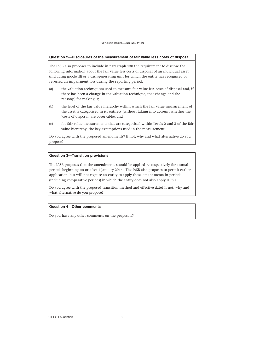#### **Question 2—Disclosures of the measurement of fair value less costs of disposal**

The IASB also proposes to include in paragraph 130 the requirement to disclose the following information about the fair value less costs of disposal of an individual asset (including goodwill) or a cash-generating unit for which the entity has recognised or reversed an impairment loss during the reporting period:

- (a) the valuation technique(s) used to measure fair value less costs of disposal and, if there has been a change in the valuation technique, that change and the reason(s) for making it;
- (b) the level of the fair value hierarchy within which the fair value measurement of the asset is categorised in its entirety (without taking into account whether the 'costs of disposal' are observable); and
- (c) for fair value measurements that are categorised within Levels 2 and 3 of the fair value hierarchy, the key assumptions used in the measurement.

Do you agree with the proposed amendments? If not, why and what alternative do you propose?

#### **Question 3—Transition provisions**

The IASB proposes that the amendments should be applied retrospectively for annual periods beginning on or after 1 January 2014. The IASB also proposes to permit earlier application, but will not require an entity to apply those amendments in periods (including comparative periods) in which the entity does not also apply IFRS 13.

Do you agree with the proposed transition method and effective date? If not, why and what alternative do you propose?

#### **Question 4—Other comments**

Do you have any other comments on the proposals?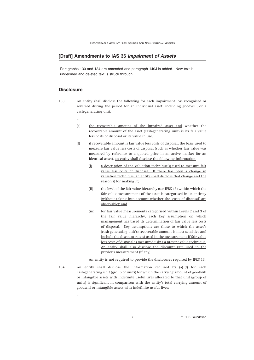#### **[Draft] Amendments to IAS 36** *Impairment of Assets*

Paragraphs 130 and 134 are amended and paragraph 140J is added. New text is underlined and deleted text is struck through.

#### **Disclosure**

...

...

- 130 An entity shall disclose the following for each impairment loss recognised or reversed during the period for an individual asset, including goodwill, or a cash-generating unit:
	- (e) the recoverable amount of the impaired asset and whether the recoverable amount of the asset (cash-generating unit) is its fair value less costs of disposal or its value in use.
	- (f) if recoverable amount is fair value less costs of disposal, the basis used to measure fair value less costs of disposal (such as whether fair value was measured by reference to a quoted price in an active market for an identical asset). an entity shall disclose the following information:
		- (i) a description of the valuation technique(s) used to measure fair value less costs of disposal. If there has been a change in valuation technique, an entity shall disclose that change and the reason(s) for making it;
		- (ii) the level of the fair value hierarchy (see IFRS 13) within which the fair value measurement of the asset is categorised in its entirety (without taking into account whether the 'costs of disposal' are observable); and
		- (iii) for fair value measurements categorised within Levels 2 and 3 of the fair value hierarchy, each key assumption on which management has based its determination of fair value less costs of disposal. Key assumptions are those to which the asset's (cash-generating unit's) recoverable amount is most sensitive and include the discount rate(s) used in the measurement if fair value less costs of disposal is measured using a present value technique. An entity shall also disclose the discount rate used in the previous measurement (if any).

An entity is not required to provide the disclosures required by IFRS 13.

134 An entity shall disclose the information required by (a)–(f) for each cash-generating unit (group of units) for which the carrying amount of goodwill or intangible assets with indefinite useful lives allocated to that unit (group of units) is significant in comparison with the entity's total carrying amount of goodwill or intangible assets with indefinite useful lives:

7 **IFRS** Foundation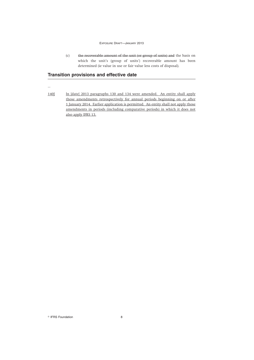#### EXPOSURE DRAFT—JANUARY 2013

(c) the recoverable amount of the unit (or group of units) and the basis on which the unit's (group of units') recoverable amount has been determined (ie value in use or fair value less costs of disposal).

# **Transition provisions and effective date**

...

140J In [date] 2013 paragraphs 130 and 134 were amended. An entity shall apply those amendments retrospectively for annual periods beginning on or after 1 January 2014. Earlier application is permitted. An entity shall not apply those amendments in periods (including comparative periods) in which it does not also apply IFRS 13.

<sup>©</sup> IFRS Foundation 8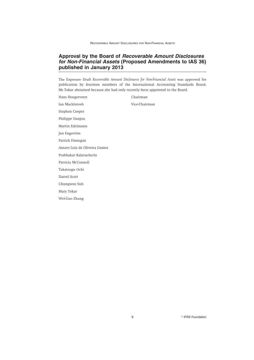# **Approval by the Board of** *Recoverable Amount Disclosures for Non-Financial Assets* **(Proposed Amendments to IAS 36) published in January 2013**

The Exposure Draft *Recoverable Amount Disclosures for Non-Financial Assets* was approved for publication by fourteen members of the International Accounting Standards Board. Ms Tokar abstained because she had only recently been appointed to the Board.

Hans Hoogervorst Chairman Ian Mackintosh Vice-Chairman Stephen Cooper Philippe Danjou Martin Edelmann Jan Engström Patrick Finnegan Amaro Luiz de Oliveira Gomes Prabhakar Kalavacherla Patricia McConnell Takatsugu Ochi Darrel Scott Chungwoo Suh Mary Tokar Wei-Guo Zhang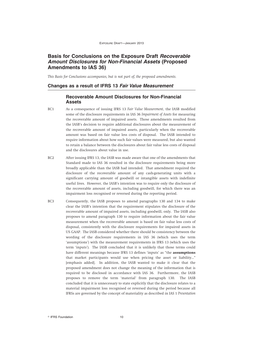# **Basis for Conclusions on the Exposure Draft** *Recoverable Amount Disclosures for Non-Financial Assets* **(Proposed Amendments to IAS 36)**

*This Basis for Conclusions accompanies, but is not part of, the proposed amendments.*

#### **Changes as a result of IFRS 13** *Fair Value Measurement*

# **Recoverable Amount Disclosures for Non-Financial Assets**

- BC1 As a consequence of issuing IFRS 13 *Fair Value Measurement*, the IASB modified some of the disclosure requirements in IAS 36 *Impairment of Assets* for measuring the recoverable amount of impaired assets. Those amendments resulted from the IASB's decision to require additional disclosures about the measurement of the recoverable amount of impaired assets, particularly when the recoverable amount was based on fair value less costs of disposal. The IASB intended to require information about how such fair values were measured, but also wanted to retain a balance between the disclosures about fair value less costs of disposal and the disclosures about value in use.
- BC2 After issuing IFRS 13, the IASB was made aware that one of the amendments that Standard made to IAS 36 resulted in the disclosure requirements being more broadly applicable than the IASB had intended. That amendment required the disclosure of the recoverable amount of any cash-generating units with a significant carrying amount of goodwill or intangible assets with indefinite useful lives. However, the IASB's intention was to require only the disclosure of the recoverable amount of assets, including goodwill, for which there was an impairment loss recognised or reversed during the reporting period.
- BC3 Consequently, the IASB proposes to amend paragraphs 130 and 134 to make clear the IASB's intention that the requirement stipulates the disclosure of the recoverable amount of impaired assets, including goodwill, only. The IASB also proposes to amend paragraph 130 to require information about the fair value measurement when the recoverable amount is based on fair value less costs of disposal, consistently with the disclosure requirements for impaired assets in US GAAP. The IASB considered whether there should be consistency between the wording of the disclosure requirements in IAS 36 (which uses the term 'assumptions') with the measurement requirements in IFRS 13 (which uses the term 'inputs'). The IASB concluded that it is unlikely that those terms could have different meanings because IFRS 13 defines 'inputs' as "the **assumptions** that market participants would use when pricing the asset or liability…" [emphasis added]. In addition, the IASB wanted to make it clear that the proposed amendment does not change the meaning of the information that is required to be disclosed in accordance with IAS 36. Furthermore, the IASB proposes to remove the term 'material' from paragraph 130. The IASB concluded that it is unnecessary to state explicitly that the disclosure relates to a material impairment loss recognised or reversed during the period because all IFRSs are governed by the concept of materiality as described in IAS 1 *Presentation*

<sup>©</sup> IFRS Foundation 10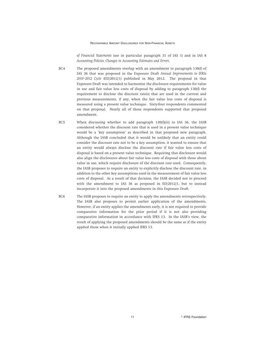#### RECOVERABLE AMOUNT DISCLOSURES FOR NON-FINANCIAL ASSETS

*of Financial Statements* (see in particular paragraph 31 of IAS 1) and in IAS 8 *Accounting Policies, Changes in Accounting Estimates and Errors*.

- BC4 The proposed amendments overlap with an amendment to paragraph 130(f) of IAS 36 that was proposed in the Exposure Draft *Annual Improvements to IFRSs 2010–2012 Cycle* (ED/2012/1) published in May 2012. The proposal in that Exposure Draft was intended to harmonise the disclosure requirements for value in use and fair value less costs of disposal by adding to paragraph 130(f) the requirement to disclose the discount rate(s) that are used in the current and previous measurements, if any, when the fair value less costs of disposal is measured using a present value technique. Sixty-four respondents commented on that proposal. Nearly all of those respondents supported that proposed amendment.
- BC5 When discussing whether to add paragraph 130(f)(iii) to IAS 36, the IASB considered whether the discount rate that is used in a present value technique would be a 'key assumption' as described in that proposed new paragraph. Although the IASB concluded that it would be unlikely that an entity could consider the discount rate not to be a key assumption, it wanted to ensure that an entity would always disclose the discount rate if fair value less costs of disposal is based on a present value technique. Requiring that disclosure would also align the disclosures about fair value less costs of disposal with those about value in use, which require disclosure of the discount rate used. Consequently, the IASB proposes to require an entity to explicitly disclose the discount rate, in addition to the other key assumptions used in the measurement of fair value less costs of disposal. As a result of that decision, the IASB decided not to proceed with the amendment to IAS 36 as proposed in ED/2012/1, but to instead incorporate it into the proposed amendments in this Exposure Draft.
- BC6 The IASB proposes to require an entity to apply the amendments retrospectively. The IASB also proposes to permit earlier application of the amendments. However, if an entity applies the amendments early, it is not required to provide comparative information for the prior period if it is not also providing comparative information in accordance with IFRS 13. In the IASB's view, the result of applying the proposed amendments should be the same as if the entity applied them when it initially applied IFRS 13.

11 **Internation IFRS** Foundation